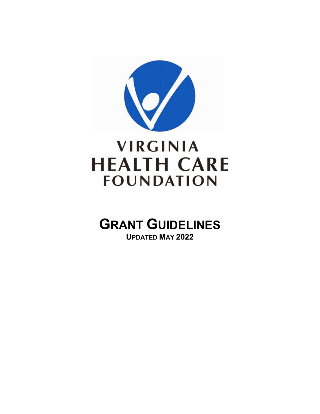

# **VIRGINIA HEALTH CARE FOUNDATION**

# **GRANT GUIDELINES UPDATED MAY 2022**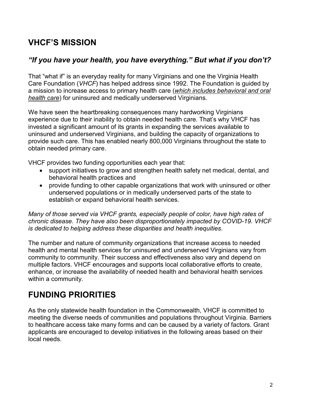### **VHCF'S MISSION**

### *"If you have your health, you have everything." But what if you don't?*

That "what if" is an everyday reality for many Virginians and one the Virginia Health Care Foundation (*VHCF*) has helped address since 1992. The Foundation is guided by a mission to increase access to primary health care (*which includes behavioral and oral health care*) for uninsured and medically underserved Virginians.

We have seen the heartbreaking consequences many hardworking Virginians experience due to their inability to obtain needed health care. That's why VHCF has invested a significant amount of its grants in expanding the services available to uninsured and underserved Virginians, and building the capacity of organizations to provide such care. This has enabled nearly 800,000 Virginians throughout the state to obtain needed primary care.

VHCF provides two funding opportunities each year that:

- support initiatives to grow and strengthen health safety net medical, dental, and behavioral health practices and
- provide funding to other capable organizations that work with uninsured or other underserved populations or in medically underserved parts of the state to establish or expand behavioral health services.

*Many of those served via VHCF grants, especially people of color, have high rates of chronic disease. They have also been disproportionately impacted by COVID-19. VHCF is dedicated to helping address these disparities and health inequities.* 

The number and nature of community organizations that increase access to needed health and mental health services for uninsured and underserved Virginians vary from community to community. Their success and effectiveness also vary and depend on multiple factors. VHCF encourages and supports local collaborative efforts to create, enhance, or increase the availability of needed health and behavioral health services within a community.

### **FUNDING PRIORITIES**

As the only statewide health foundation in the Commonwealth, VHCF is committed to meeting the diverse needs of communities and populations throughout Virginia. Barriers to healthcare access take many forms and can be caused by a variety of factors. Grant applicants are encouraged to develop initiatives in the following areas based on their local needs.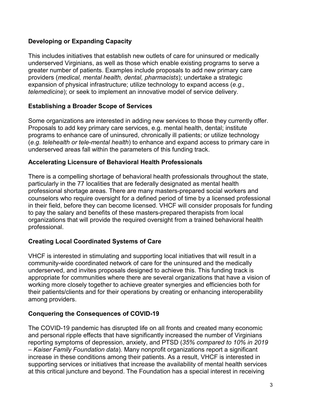#### **Developing or Expanding Capacity**

This includes initiatives that establish new outlets of care for uninsured or medically underserved Virginians, as well as those which enable existing programs to serve a greater number of patients. Examples include proposals to add new primary care providers (*medical, mental health, dental, pharmacists*); undertake a strategic expansion of physical infrastructure; utilize technology to expand access (*e.g., telemedicine*); or seek to implement an innovative model of service delivery.

#### **Establishing a Broader Scope of Services**

Some organizations are interested in adding new services to those they currently offer. Proposals to add key primary care services, e.g. mental health, dental; institute programs to enhance care of uninsured, chronically ill patients; or utilize technology (*e.g. telehealth or tele-mental health*) to enhance and expand access to primary care in underserved areas fall within the parameters of this funding track.

#### **Accelerating Licensure of Behavioral Health Professionals**

There is a compelling shortage of behavioral health professionals throughout the state, particularly in the 77 localities that are federally designated as mental health professional shortage areas. There are many masters-prepared social workers and counselors who require oversight for a defined period of time by a licensed professional in their field, before they can become licensed. VHCF will consider proposals for funding to pay the salary and benefits of these masters-prepared therapists from local organizations that will provide the required oversight from a trained behavioral health professional.

#### **Creating Local Coordinated Systems of Care**

VHCF is interested in stimulating and supporting local initiatives that will result in a community-wide coordinated network of care for the uninsured and the medically underserved, and invites proposals designed to achieve this. This funding track is appropriate for communities where there are several organizations that have a vision of working more closely together to achieve greater synergies and efficiencies both for their patients/clients and for their operations by creating or enhancing interoperability among providers.

#### **Conquering the Consequences of COVID-19**

The COVID-19 pandemic has disrupted life on all fronts and created many economic and personal ripple effects that have significantly increased the number of Virginians reporting symptoms of depression, anxiety, and PTSD (*35% compared to 10% in 2019 – Kaiser Family Foundation data*). Many nonprofit organizations report a significant increase in these conditions among their patients. As a result, VHCF is interested in supporting services or initiatives that increase the availability of mental health services at this critical juncture and beyond. The Foundation has a special interest in receiving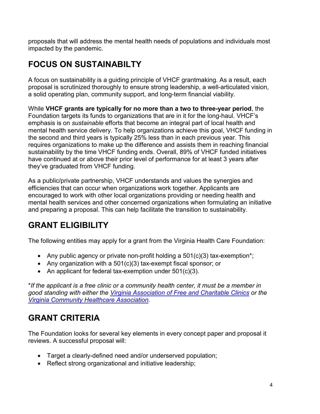proposals that will address the mental health needs of populations and individuals most impacted by the pandemic.

# **FOCUS ON SUSTAINABILTY**

A focus on sustainability is a guiding principle of VHCF grantmaking. As a result, each proposal is scrutinized thoroughly to ensure strong leadership, a well-articulated vision, a solid operating plan, community support, and long-term financial viability.

While **VHCF grants are typically for no more than a two to three-year period**, the Foundation targets its funds to organizations that are in it for the long-haul. VHCF's emphasis is on *sustainable* efforts that become an integral part of local health and mental health service delivery. To help organizations achieve this goal, VHCF funding in the second and third years is typically 25% less than in each previous year. This requires organizations to make up the difference and assists them in reaching financial sustainability by the time VHCF funding ends. Overall, 89% of VHCF funded initiatives have continued at or above their prior level of performance for at least 3 years after they've graduated from VHCF funding.

As a public/private partnership, VHCF understands and values the synergies and efficiencies that can occur when organizations work together. Applicants are encouraged to work with other local organizations providing or needing health and mental health services and other concerned organizations when formulating an initiative and preparing a proposal. This can help facilitate the transition to sustainability.

# **GRANT ELIGIBILITY**

The following entities may apply for a grant from the Virginia Health Care Foundation:

- Any public agency or private non-profit holding a  $501(c)(3)$  tax-exemption<sup>\*</sup>;
- Any organization with a 501(c)(3) tax-exempt fiscal sponsor; or
- An applicant for federal tax-exemption under 501(c)(3).

\**If the applicant is a free clinic or a community health center, it must be a member in good standing with either the [Virginia Association of Free and Charitable Clinics](http://www.vafreeclinics.org/) or the [Virginia Community Healthcare Association.](http://vacommunityhealth.org/)*

# **GRANT CRITERIA**

The Foundation looks for several key elements in every concept paper and proposal it reviews. A successful proposal will:

- Target a clearly-defined need and/or underserved population;
- Reflect strong organizational and initiative leadership;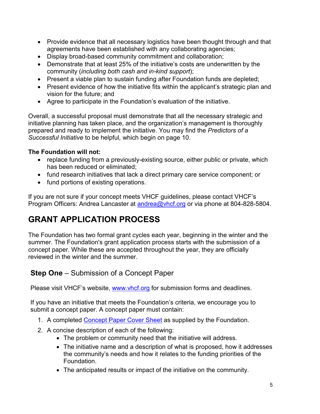- Provide evidence that all necessary logistics have been thought through and that agreements have been established with any collaborating agencies;
- Display broad-based community commitment and collaboration;
- Demonstrate that at least 25% of the initiative's costs are underwritten by the community (*including both cash and in-kind support*);
- Present a viable plan to sustain funding after Foundation funds are depleted;
- Present evidence of how the initiative fits within the applicant's strategic plan and vision for the future; and
- Agree to participate in the Foundation's evaluation of the initiative.

Overall, a successful proposal must demonstrate that all the necessary strategic and initiative planning has taken place, and the organization's management is thoroughly prepared and ready to implement the initiative. You may find the *Predictors of a Successful Initiative* to be helpful*,* which begin on page 10.

#### **The Foundation will not:**

- replace funding from a previously-existing source, either public or private, which has been reduced or eliminated;
- fund research initiatives that lack a direct primary care service component; or
- fund portions of existing operations.

If you are not sure if your concept meets VHCF guidelines, please contact VHCF's Program Officers: Andrea Lancaster at [andrea@vhcf.org](mailto:andrea@vhcf.org) or via phone at 804-828-5804.

# **GRANT APPLICATION PROCESS**

The Foundation has two formal grant cycles each year, beginning in the winter and the summer. The Foundation's grant application process starts with the submission of a concept paper. While these are accepted throughout the year, they are officially reviewed in the winter and the summer.

### **Step One** – Submission of a Concept Paper

Please visit VHCF's website, [www.vhcf.org](http://www.vhcf.org/) for submission forms and deadlines.

If you have an initiative that meets the Foundation's criteria, we encourage you to submit a concept paper. A concept paper must contain:

- 1. A completed [Concept Paper Cover Sheet](https://www.vhcf.org/wp-content/uploads/2020/10/ConceptPaperCoverSheet.pdf) as supplied by the Foundation.
- 2. A concise description of each of the following:
	- The problem or community need that the initiative will address.
	- The initiative name and a description of what is proposed, how it addresses the community's needs and how it relates to the funding priorities of the Foundation.
	- The anticipated results or impact of the initiative on the community.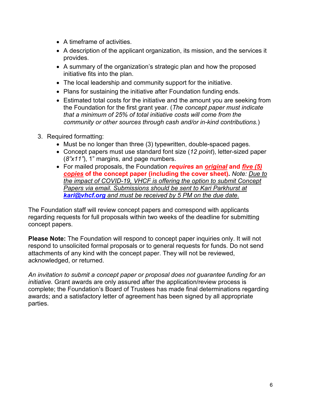- A timeframe of activities.
- A description of the applicant organization, its mission, and the services it provides.
- A summary of the organization's strategic plan and how the proposed initiative fits into the plan.
- The local leadership and community support for the initiative.
- Plans for sustaining the initiative after Foundation funding ends.
- Estimated total costs for the initiative and the amount you are seeking from the Foundation for the first grant year. (*The concept paper must indicate that a minimum of 25% of total initiative costs will come from the community or other sources through cash and/or in-kind contributions.*)
- 3. Required formatting:
	- Must be no longer than three (3) typewritten, double-spaced pages.
	- Concept papers must use standard font size (*12 point*), letter-sized paper (*8"x11"*), 1" margins, and page numbers.
	- For mailed proposals, the Foundation *requires* **an** *original* **and** *five (5) copies* **of the concept paper (including the cover sheet).** *Note: Due to the impact of COVID-19, VHCF is offering the option to submit Concept Papers via email. Submissions should be sent to Kari Parkhurst at [kari@vhcf.org](mailto:kari@vhcf.org) and must be received by 5 PM on the due date*.

The Foundation staff will review concept papers and correspond with applicants regarding requests for full proposals within two weeks of the deadline for submitting concept papers.

**Please Note:** The Foundation will respond to concept paper inquiries only. It will not respond to unsolicited formal proposals or to general requests for funds. Do not send attachments of any kind with the concept paper. They will not be reviewed, acknowledged, or returned.

*An invitation to submit a concept paper or proposal does not guarantee funding for an initiative.* Grant awards are only assured after the application/review process is complete; the Foundation's Board of Trustees has made final determinations regarding awards; and a satisfactory letter of agreement has been signed by all appropriate parties.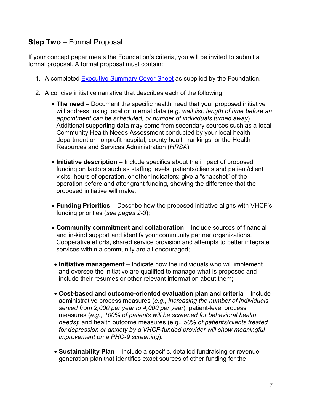### **Step Two** – Formal Proposal

If your concept paper meets the Foundation's criteria, you will be invited to submit a formal proposal. A formal proposal must contain:

- 1. A completed [Executive Summary](https://www.vhcf.org/wp-content/uploads/2020/10/Executive-Summary-cover-sheet.pdf) Cover Sheet as supplied by the Foundation.
- 2. A concise initiative narrative that describes each of the following:
	- **The need** Document the specific health need that your proposed initiative will address, using local or internal data (*e.g. wait list, length of time before an appointment can be scheduled, or number of individuals turned away*). Additional supporting data may come from secondary sources such as a local Community Health Needs Assessment conducted by your local health department or nonprofit hospital, county health rankings, or the Health Resources and Services Administration (*HRSA*).
	- **Initiative description** Include specifics about the impact of proposed funding on factors such as staffing levels, patients/clients and patient/client visits, hours of operation, or other indicators; give a "snapshot" of the operation before and after grant funding, showing the difference that the proposed initiative will make;
	- **Funding Priorities** Describe how the proposed initiative aligns with VHCF's funding priorities (*see pages 2-3*);
	- **Community commitment and collaboration** Include sources of financial and in-kind support and identify your community partner organizations. Cooperative efforts, shared service provision and attempts to better integrate services within a community are all encouraged;
	- **Initiative management** Indicate how the individuals who will implement and oversee the initiative are qualified to manage what is proposed and include their resumes or other relevant information about them;
	- **Cost-based and outcome-oriented evaluation plan and criteria** Include administrative process measures (*e.g., increasing the number of individuals served from 2,000 per year to 4,000 per year*); patient-level process measures (*e.g., 100% of patients will be screened for behavioral health needs*); and health outcome measures (e.g., *50% of patients/clients treated for depression or anxiety by a VHCF-funded provider will show meaningful improvement on a PHQ-9 screening*).
	- **Sustainability Plan** Include a specific, detailed fundraising or revenue generation plan that identifies exact sources of other funding for the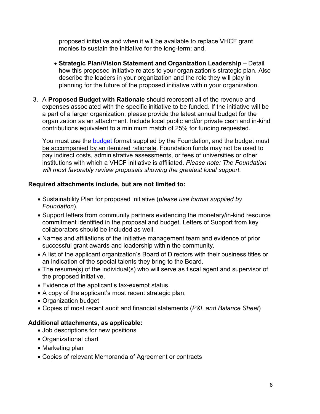proposed initiative and when it will be available to replace VHCF grant monies to sustain the initiative for the long-term; and,

- **Strategic Plan/Vision Statement and Organization Leadership** Detail how this proposed initiative relates to your organization's strategic plan. Also describe the leaders in your organization and the role they will play in planning for the future of the proposed initiative within your organization.
- 3. A **Proposed Budget with Rationale** should represent all of the revenue and expenses associated with the specific initiative to be funded. If the initiative will be a part of a larger organization, please provide the latest annual budget for the organization as an attachment. Include local public and/or private cash and in-kind contributions equivalent to a minimum match of 25% for funding requested.

You must use the [budget](http://www.vhcf.org/wp-content/uploads/2017/09/Blank-Budget-Forms.xlsx) format supplied by the Foundation, and the budget must be accompanied by an itemized rationale. Foundation funds may not be used to pay indirect costs, administrative assessments, or fees of universities or other institutions with which a VHCF initiative is affiliated. *Please note: The Foundation will most favorably review proposals showing the greatest local support.*

#### **Required attachments include, but are not limited to:**

- Sustainability Plan for proposed initiative (*please use format supplied by Foundation*).
- Support letters from community partners evidencing the monetary/in-kind resource commitment identified in the proposal and budget. Letters of Support from key collaborators should be included as well.
- Names and affiliations of the initiative management team and evidence of prior successful grant awards and leadership within the community.
- A list of the applicant organization's Board of Directors with their business titles or an indication of the special talents they bring to the Board.
- The resume(s) of the individual(s) who will serve as fiscal agent and supervisor of the proposed initiative.
- Evidence of the applicant's tax-exempt status.
- A copy of the applicant's most recent strategic plan.
- Organization budget
- Copies of most recent audit and financial statements (*P&L and Balance Sheet*)

#### **Additional attachments, as applicable:**

- Job descriptions for new positions
- Organizational chart
- Marketing plan
- Copies of relevant Memoranda of Agreement or contracts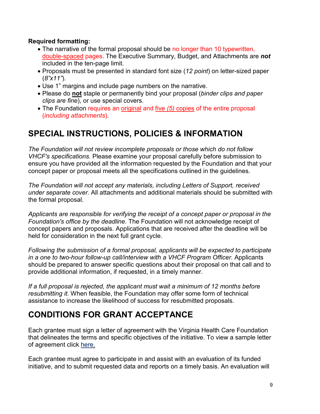#### **Required formatting:**

- The narrative of the formal proposal should be no longer than 10 typewritten, double-spaced pages. The Executive Summary, Budget, and Attachments are *not* included in the ten-page limit.
- Proposals must be presented in standard font size (*12 point*) on letter-sized paper (*8"x11"*).
- Use 1" margins and include page numbers on the narrative.
- Please do **not** staple or permanently bind your proposal (*binder clips and paper clips are fine*), or use special covers.
- The Foundation requires an original and five *(5)* copies of the entire proposal (*including attachments*).

### **SPECIAL INSTRUCTIONS, POLICIES & INFORMATION**

*The Foundation will not review incomplete proposals or those which do not follow VHCF's specifications.* Please examine your proposal carefully before submission to ensure you have provided all the information requested by the Foundation and that your concept paper or proposal meets all the specifications outlined in the guidelines.

*The Foundation will not accept any materials, including Letters of Support, received under separate cover.* All attachments and additional materials should be submitted with the formal proposal.

*Applicants are responsible for verifying the receipt of a concept paper or proposal in the Foundation's office by the deadline.* The Foundation will not acknowledge receipt of concept papers and proposals. Applications that are received after the deadline will be held for consideration in the next full grant cycle.

*Following the submission of a formal proposal, applicants will be expected to participate*  in a one to two-hour follow-up call/interview with a VHCF Program Officer. Applicants should be prepared to answer specific questions about their proposal on that call and to provide additional information, if requested, in a timely manner.

*If a full proposal is rejected, the applicant must wait a minimum of 12 months before resubmitting it.* When feasible, the Foundation may offer some form of technical assistance to increase the likelihood of success for resubmitted proposals.

### **CONDITIONS FOR GRANT ACCEPTANCE**

Each grantee must sign a letter of agreement with the Virginia Health Care Foundation that delineates the terms and specific objectives of the initiative. To view a sample letter of agreement click [here.](https://www.vhcf.org/wp-content/uploads/2020/10/Behavioral-Health-LOA-Sample-Updated-010720.pdf) 

Each grantee must agree to participate in and assist with an evaluation of its funded initiative, and to submit requested data and reports on a timely basis. An evaluation will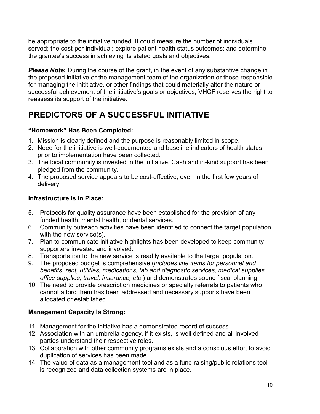be appropriate to the initiative funded. It could measure the number of individuals served; the cost-per-individual; explore patient health status outcomes; and determine the grantee's success in achieving its stated goals and objectives.

**Please Note:** During the course of the grant, in the event of any substantive change in the proposed initiative or the management team of the organization or those responsible for managing the inititiative, or other findings that could materially alter the nature or successful achievement of the initiative's goals or objectives, VHCF reserves the right to reassess its support of the initiative.

# **PREDICTORS OF A SUCCESSFUL INITIATIVE**

### **"Homework" Has Been Completed:**

- 1. Mission is clearly defined and the purpose is reasonably limited in scope.
- 2. Need for the initiative is well-documented and baseline indicators of health status prior to implementation have been collected.
- 3. The local community is invested in the initiative. Cash and in-kind support has been pledged from the community.
- 4. The proposed service appears to be cost-effective, even in the first few years of delivery.

### **Infrastructure Is in Place:**

- 5. Protocols for quality assurance have been established for the provision of any funded health, mental health, or dental services.
- 6. Community outreach activities have been identified to connect the target population with the new service(s).
- 7. Plan to communicate initiative highlights has been developed to keep community supporters invested and involved.
- 8. Transportation to the new service is readily available to the target population.
- 9. The proposed budget is comprehensive (*includes line items for personnel and benefits, rent, utilities, medications, lab and diagnostic services, medical supplies, office supplies, travel, insurance, etc.*) and demonstrates sound fiscal planning.
- 10. The need to provide prescription medicines or specialty referrals to patients who cannot afford them has been addressed and necessary supports have been allocated or established.

### **Management Capacity Is Strong:**

- 11. Management for the initiative has a demonstrated record of success.
- 12. Association with an umbrella agency, if it exists, is well defined and all involved parties understand their respective roles.
- 13. Collaboration with other community programs exists and a conscious effort to avoid duplication of services has been made.
- 14. The value of data as a management tool and as a fund raising/public relations tool is recognized and data collection systems are in place.